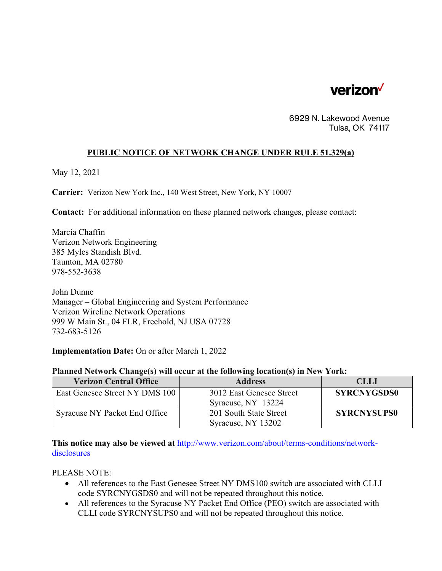

6929 N. Lakewood Avenue Tulsa, OK 74117

## **PUBLIC NOTICE OF NETWORK CHANGE UNDER RULE 51.329(a)**

May 12, 2021

**Carrier:** Verizon New York Inc., 140 West Street, New York, NY 10007

**Contact:** For additional information on these planned network changes, please contact:

Marcia Chaffin Verizon Network Engineering 385 Myles Standish Blvd. Taunton, MA 02780 978-552-3638

John Dunne Manager – Global Engineering and System Performance Verizon Wireline Network Operations 999 W Main St., 04 FLR, Freehold, NJ USA 07728 732-683-5126

**Implementation Date:** On or after March 1, 2022

## **Planned Network Change(s) will occur at the following location(s) in New York:**

| <b>Verizon Central Office</b>  | <b>Address</b>                                 | <b>CLLI</b>        |
|--------------------------------|------------------------------------------------|--------------------|
| East Genesee Street NY DMS 100 | 3012 East Genesee Street<br>Syracuse, NY 13224 | <b>SYRCNYGSDS0</b> |
| Syracuse NY Packet End Office  | 201 South State Street<br>Syracuse, NY 13202   | <b>SYRCNYSUPS0</b> |

**This notice may also be viewed at** http://www.verizon.com/about/terms-conditions/networkdisclosures

PLEASE NOTE:

- All references to the East Genesee Street NY DMS100 switch are associated with CLLI code SYRCNYGSDS0 and will not be repeated throughout this notice.
- All references to the Syracuse NY Packet End Office (PEO) switch are associated with CLLI code SYRCNYSUPS0 and will not be repeated throughout this notice.